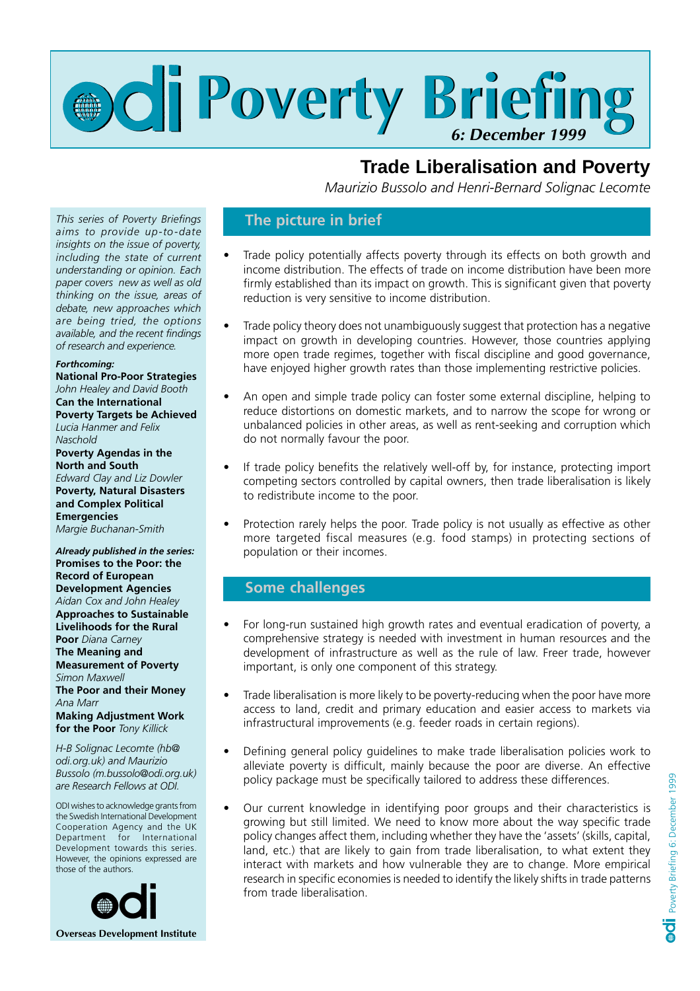

# **Trade Liberalisation and Poverty**

 *Maurizio Bussolo and Henri-Bernard Solignac Lecomte*

#### *This series of Poverty Briefings aims to provide up-to-date insights on the issue of poverty, including the state of current understanding or opinion. Each paper covers new as well as old thinking on the issue, areas of debate, new approaches which are being tried, the options available, and the recent findings of research and experience.*

#### *Forthcoming:*

**National Pro-Poor Strategies** *John Healey and David Booth* **Can the International Poverty Targets be Achieved** *Lucia Hanmer and Felix Naschold* **Poverty Agendas in the North and South** *Edward Clay and Liz Dowler* **Poverty, Natural Disasters and Complex Political Emergencies** *Margie Buchanan-Smith*

*Already published in the series:* **Promises to the Poor: the Record of European Development Agencies** *Aidan Cox and John Healey* **Approaches to Sustainable Livelihoods for the Rural Poor** *Diana Carney* **The Meaning and Measurement of Poverty** *Simon Maxwell* **The Poor and their Money** *Ana Marr* **Making Adjustment Work for the Poor** *Tony Killick*

*H-B Solignac Lecomte (hb@ odi.org.uk) and Maurizio Bussolo (m.bussolo@odi.org.uk) are Research Fellows at ODI.*

ODI wishes to acknowledge grants from the Swedish International Development Cooperation Agency and the UK Department for International Development towards this series. However, the opinions expressed are those of the authors.



### **The picture in brief**

- Trade policy potentially affects poverty through its effects on both growth and income distribution. The effects of trade on income distribution have been more firmly established than its impact on growth. This is significant given that poverty reduction is very sensitive to income distribution.
- Trade policy theory does not unambiguously suggest that protection has a negative impact on growth in developing countries. However, those countries applying more open trade regimes, together with fiscal discipline and good governance, have enjoyed higher growth rates than those implementing restrictive policies.
- An open and simple trade policy can foster some external discipline, helping to reduce distortions on domestic markets, and to narrow the scope for wrong or unbalanced policies in other areas, as well as rent-seeking and corruption which do not normally favour the poor.
- If trade policy benefits the relatively well-off by, for instance, protecting import competing sectors controlled by capital owners, then trade liberalisation is likely to redistribute income to the poor.
- Protection rarely helps the poor. Trade policy is not usually as effective as other more targeted fiscal measures (e.g. food stamps) in protecting sections of population or their incomes.

## **Some challenges**

- For long-run sustained high growth rates and eventual eradication of poverty, a comprehensive strategy is needed with investment in human resources and the development of infrastructure as well as the rule of law. Freer trade, however important, is only one component of this strategy.
- Trade liberalisation is more likely to be poverty-reducing when the poor have more access to land, credit and primary education and easier access to markets via infrastructural improvements (e.g. feeder roads in certain regions).
- Defining general policy guidelines to make trade liberalisation policies work to alleviate poverty is difficult, mainly because the poor are diverse. An effective policy package must be specifically tailored to address these differences.
- Our current knowledge in identifying poor groups and their characteristics is growing but still limited. We need to know more about the way specific trade policy changes affect them, including whether they have the 'assets' (skills, capital, land, etc.) that are likely to gain from trade liberalisation, to what extent they interact with markets and how vulnerable they are to change. More empirical research in specific economies is needed to identify the likely shifts in trade patterns from trade liberalisation.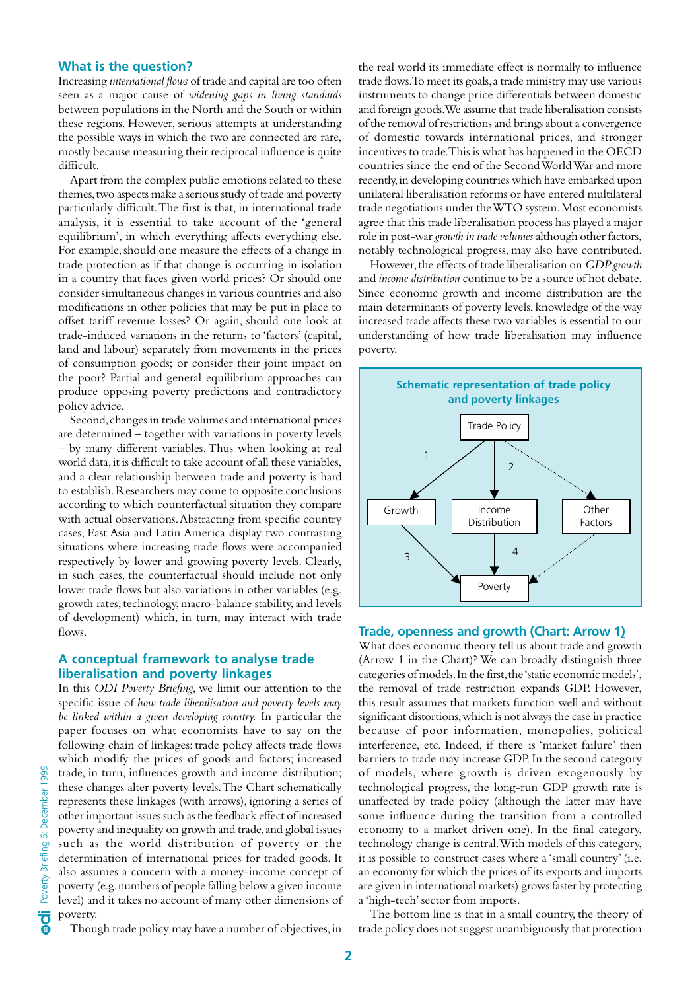#### **What is the question?**

Increasing *international flows* of trade and capital are too often seen as a major cause of *widening gaps in living standards* between populations in the North and the South or within these regions. However, serious attempts at understanding the possible ways in which the two are connected are rare, mostly because measuring their reciprocal influence is quite difficult.

Apart from the complex public emotions related to these themes, two aspects make a serious study of trade and poverty particularly difficult. The first is that, in international trade analysis, it is essential to take account of the 'general equilibrium', in which everything affects everything else. For example, should one measure the effects of a change in trade protection as if that change is occurring in isolation in a country that faces given world prices? Or should one consider simultaneous changes in various countries and also modifications in other policies that may be put in place to offset tariff revenue losses? Or again, should one look at trade-induced variations in the returns to 'factors' (capital, land and labour) separately from movements in the prices of consumption goods; or consider their joint impact on the poor? Partial and general equilibrium approaches can produce opposing poverty predictions and contradictory policy advice.

Second, changes in trade volumes and international prices are determined – together with variations in poverty levels by many different variables. Thus when looking at real world data, it is difficult to take account of all these variables, and a clear relationship between trade and poverty is hard to establish. Researchers may come to opposite conclusions according to which counterfactual situation they compare with actual observations. Abstracting from specific country cases, East Asia and Latin America display two contrasting situations where increasing trade flows were accompanied respectively by lower and growing poverty levels. Clearly, in such cases, the counterfactual should include not only lower trade flows but also variations in other variables (e.g. growth rates, technology, macro-balance stability, and levels of development) which, in turn, may interact with trade flows.

#### **A conceptual framework to analyse trade liberalisation and poverty linkages**

In this *ODI Poverty Briefing*, we limit our attention to the specific issue of *how trade liberalisation and poverty levels may be linked within a given developing country.* In particular the paper focuses on what economists have to say on the following chain of linkages: trade policy affects trade flows which modify the prices of goods and factors; increased trade, in turn, influences growth and income distribution; these changes alter poverty levels. The Chart schematically represents these linkages (with arrows), ignoring a series of other important issues such as the feedback effect of increased poverty and inequality on growth and trade, and global issues such as the world distribution of poverty or the determination of international prices for traded goods. It also assumes a concern with a money-income concept of poverty (e.g. numbers of people falling below a given income level) and it takes no account of many other dimensions of poverty.

the real world its immediate effect is normally to influence trade flows. To meet its goals, a trade ministry may use various instruments to change price differentials between domestic and foreign goods. We assume that trade liberalisation consists of the removal of restrictions and brings about a convergence of domestic towards international prices, and stronger incentives to trade. This is what has happened in the OECD countries since the end of the Second World War and more recently, in developing countries which have embarked upon unilateral liberalisation reforms or have entered multilateral trade negotiations under the WTO system. Most economists agree that this trade liberalisation process has played a major role in post-war *growth in trade volumes* although other factors, notably technological progress, may also have contributed.

However, the effects of trade liberalisation on *GDP growth* and *income distribution* continue to be a source of hot debate. Since economic growth and income distribution are the main determinants of poverty levels, knowledge of the way increased trade affects these two variables is essential to our understanding of how trade liberalisation may influence poverty.



#### **Trade, openness and growth (Chart: Arrow 1)**

What does economic theory tell us about trade and growth (Arrow 1 in the Chart)? We can broadly distinguish three categories of models. In the first, the 'static economic models', the removal of trade restriction expands GDP. However, this result assumes that markets function well and without significant distortions, which is not always the case in practice because of poor information, monopolies, political interference, etc. Indeed, if there is 'market failure' then barriers to trade may increase GDP. In the second category of models, where growth is driven exogenously by technological progress, the long-run GDP growth rate is unaffected by trade policy (although the latter may have some influence during the transition from a controlled economy to a market driven one). In the final category, technology change is central. With models of this category, it is possible to construct cases where a 'small country' (i.e. an economy for which the prices of its exports and imports are given in international markets) grows faster by protecting a 'high-tech' sector from imports.

The bottom line is that in a small country, the theory of trade policy does not suggest unambiguously that protection

Though trade policy may have a number of objectives, in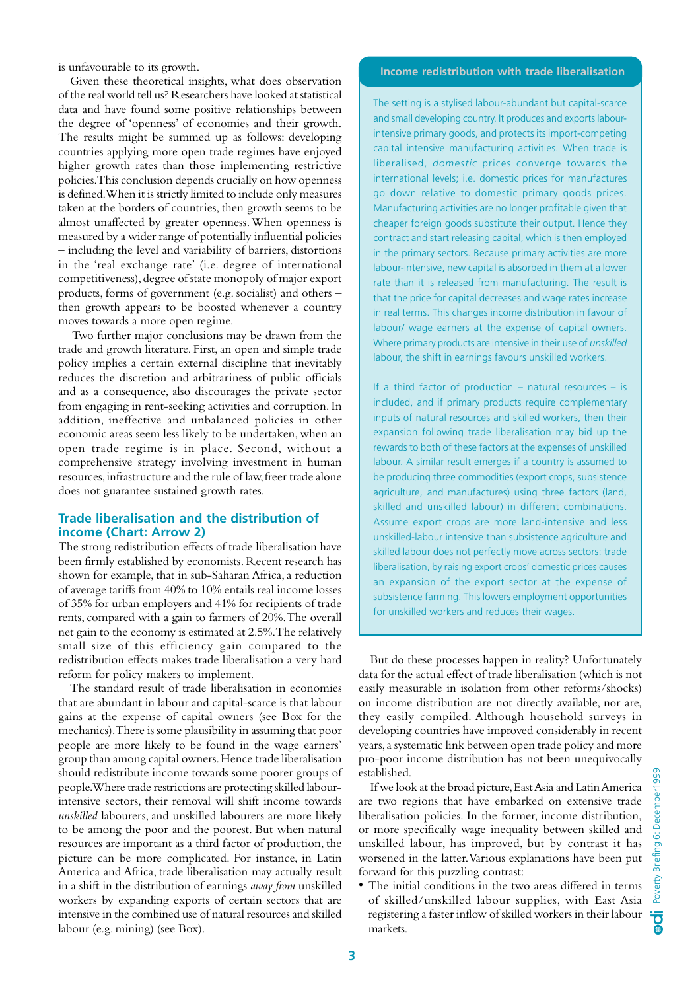is unfavourable to its growth.

Given these theoretical insights, what does observation of the real world tell us? Researchers have looked at statistical data and have found some positive relationships between the degree of 'openness' of economies and their growth. The results might be summed up as follows: developing countries applying more open trade regimes have enjoyed higher growth rates than those implementing restrictive policies. This conclusion depends crucially on how openness is defined. When it is strictly limited to include only measures taken at the borders of countries, then growth seems to be almost unaffected by greater openness. When openness is measured by a wider range of potentially influential policies – including the level and variability of barriers, distortions in the 'real exchange rate' (i.e. degree of international competitiveness), degree of state monopoly of major export products, forms of government (e.g. socialist) and others – then growth appears to be boosted whenever a country moves towards a more open regime.

 Two further major conclusions may be drawn from the trade and growth literature. First, an open and simple trade policy implies a certain external discipline that inevitably reduces the discretion and arbitrariness of public officials and as a consequence, also discourages the private sector from engaging in rent-seeking activities and corruption. In addition, ineffective and unbalanced policies in other economic areas seem less likely to be undertaken, when an open trade regime is in place. Second, without a comprehensive strategy involving investment in human resources, infrastructure and the rule of law, freer trade alone does not guarantee sustained growth rates.

#### **Trade liberalisation and the distribution of income (Chart: Arrow 2)**

The strong redistribution effects of trade liberalisation have been firmly established by economists. Recent research has shown for example, that in sub-Saharan Africa, a reduction of average tariffs from 40% to 10% entails real income losses of 35% for urban employers and 41% for recipients of trade rents, compared with a gain to farmers of 20%. The overall net gain to the economy is estimated at 2.5%. The relatively small size of this efficiency gain compared to the redistribution effects makes trade liberalisation a very hard reform for policy makers to implement.

The standard result of trade liberalisation in economies that are abundant in labour and capital-scarce is that labour gains at the expense of capital owners (see Box for the mechanics). There is some plausibility in assuming that poor people are more likely to be found in the wage earners' group than among capital owners. Hence trade liberalisation should redistribute income towards some poorer groups of people. Where trade restrictions are protecting skilled labourintensive sectors, their removal will shift income towards *unskilled* labourers, and unskilled labourers are more likely to be among the poor and the poorest. But when natural resources are important as a third factor of production, the picture can be more complicated. For instance, in Latin America and Africa, trade liberalisation may actually result in a shift in the distribution of earnings *away from* unskilled workers by expanding exports of certain sectors that are intensive in the combined use of natural resources and skilled labour (e.g. mining) (see Box).

#### **Income redistribution with trade liberalisation**

The setting is a stylised labour-abundant but capital-scarce and small developing country. It produces and exports labourintensive primary goods, and protects its import-competing capital intensive manufacturing activities. When trade is liberalised, *domestic* prices converge towards the international levels; i.e. domestic prices for manufactures go down relative to domestic primary goods prices. Manufacturing activities are no longer profitable given that cheaper foreign goods substitute their output. Hence they contract and start releasing capital, which is then employed in the primary sectors. Because primary activities are more labour-intensive, new capital is absorbed in them at a lower rate than it is released from manufacturing. The result is that the price for capital decreases and wage rates increase in real terms. This changes income distribution in favour of labour/ wage earners at the expense of capital owners. Where primary products are intensive in their use of *unskilled* labour, the shift in earnings favours unskilled workers.

If a third factor of production – natural resources – is included, and if primary products require complementary inputs of natural resources and skilled workers, then their expansion following trade liberalisation may bid up the rewards to both of these factors at the expenses of unskilled labour. A similar result emerges if a country is assumed to be producing three commodities (export crops, subsistence agriculture, and manufactures) using three factors (land, skilled and unskilled labour) in different combinations. Assume export crops are more land-intensive and less unskilled-labour intensive than subsistence agriculture and skilled labour does not perfectly move across sectors: trade liberalisation, by raising export crops' domestic prices causes an expansion of the export sector at the expense of subsistence farming. This lowers employment opportunities for unskilled workers and reduces their wages.

But do these processes happen in reality? Unfortunately data for the actual effect of trade liberalisation (which is not easily measurable in isolation from other reforms/shocks) on income distribution are not directly available, nor are, they easily compiled. Although household surveys in developing countries have improved considerably in recent years, a systematic link between open trade policy and more pro-poor income distribution has not been unequivocally established.

If we look at the broad picture, East Asia and Latin America are two regions that have embarked on extensive trade liberalisation policies. In the former, income distribution, or more specifically wage inequality between skilled and unskilled labour, has improved, but by contrast it has worsened in the latter. Various explanations have been put forward for this puzzling contrast:

• The initial conditions in the two areas differed in terms of skilled/unskilled labour supplies, with East Asia registering a faster inflow of skilled workers in their labour markets.